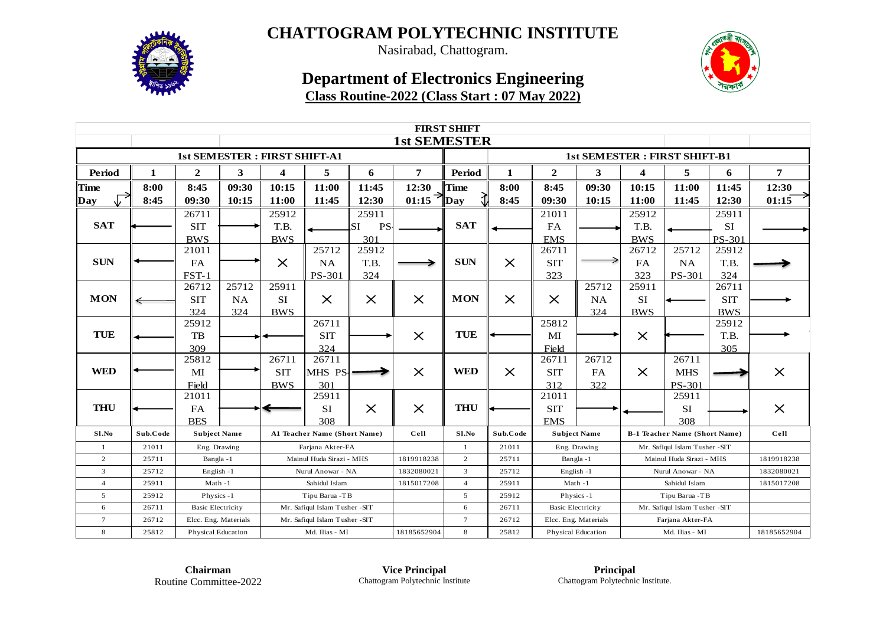

Nasirabad, Chattogram.

### **Department of Electronics Engineering Class Routine-2022 (Class Start : 07 May 2022)**



| <b>FIRST SHIFT</b> |          |                                     |           |                |                                |                  |                     |                |              |                          |                           |                               |                                     |                                              |            |  |
|--------------------|----------|-------------------------------------|-----------|----------------|--------------------------------|------------------|---------------------|----------------|--------------|--------------------------|---------------------------|-------------------------------|-------------------------------------|----------------------------------------------|------------|--|
|                    |          |                                     |           |                |                                |                  | <b>1st SEMESTER</b> |                |              |                          |                           |                               |                                     |                                              |            |  |
|                    |          | <b>1st SEMESTER: FIRST SHIFT-A1</b> |           |                |                                |                  |                     |                |              |                          |                           |                               | <b>1st SEMESTER: FIRST SHIFT-B1</b> |                                              |            |  |
| Period             | 1        | $\boldsymbol{2}$                    | 3         | 4              | 5                              | 6                | 7                   | Period         | $\mathbf{1}$ | $\boldsymbol{2}$         | 3                         | 4                             | 5                                   | 6                                            | 7          |  |
| <b>Time</b>        | 8:00     | 8:45                                | 09:30     | 10:15          | 11:00                          | 11:45            | 12:30               | <b>Time</b>    | 8:00         | 8:45                     | 09:30                     | 10:15                         | 11:00                               | 11:45                                        | 12:30      |  |
| Day                | 8:45     | 09:30                               | 10:15     | 11:00          | 11:45                          | 12:30            | $01:15$ Day         |                | 8:45         | 09:30                    | 10:15                     | 11:00                         | 11:45                               | 12:30                                        | 01:15      |  |
|                    |          | 26711                               |           | 25912          |                                | 25911            |                     |                |              | 21011                    |                           | 25912                         |                                     | 25911                                        |            |  |
| <b>SAT</b>         |          | <b>SIT</b>                          |           | T.B.           |                                | <b>PS</b><br>lst |                     | <b>SAT</b>     |              | FA                       |                           | T.B.                          |                                     | SI                                           |            |  |
|                    |          | <b>BWS</b>                          |           | <b>BWS</b>     |                                | 301              |                     |                |              | <b>EMS</b>               |                           | <b>BWS</b>                    |                                     | PS-301                                       |            |  |
|                    |          | 21011                               |           |                | 25712                          | 25912            |                     |                |              | 26711                    |                           | 26712                         | 25712                               | 25912                                        |            |  |
| <b>SUN</b>         |          | <b>FA</b>                           |           | $\times$       | <b>NA</b>                      | T.B.             |                     | <b>SUN</b>     | $\times$     | <b>SIT</b>               |                           | FA                            | NA                                  | T.B.                                         |            |  |
|                    |          | $FST-1$                             |           |                | PS-301                         | 324              |                     |                |              | 323                      |                           | 323                           | <b>PS-301</b>                       | 324                                          |            |  |
|                    |          | 26712                               | 25712     | 25911          |                                |                  |                     |                |              |                          | 25712                     | 25911                         |                                     | 26711                                        |            |  |
| <b>MON</b>         | ←        | <b>SIT</b>                          | <b>NA</b> | <b>SI</b>      | $\times$                       | $\times$         | $\times$            | <b>MON</b>     | $\times$     | $\times$                 | <b>NA</b>                 | SI                            |                                     | <b>SIT</b>                                   |            |  |
|                    |          | 324                                 | 324       | <b>BWS</b>     |                                |                  |                     |                |              |                          | 324                       | <b>BWS</b>                    |                                     | <b>BWS</b>                                   |            |  |
|                    |          | 25912                               |           |                | 26711                          |                  |                     |                |              | 25812                    |                           |                               |                                     | 25912                                        |            |  |
| <b>TUE</b>         |          | TB                                  |           |                | <b>SIT</b>                     |                  | $\times$            | <b>TUE</b>     |              | MI                       |                           | $\times$                      |                                     | T.B.                                         |            |  |
|                    |          | 309                                 |           |                | 324                            |                  |                     |                |              | Field                    |                           |                               |                                     | 305                                          |            |  |
|                    |          | 25812                               |           | 26711          | 26711                          |                  |                     |                |              | 26711                    | 26712                     |                               | 26711                               |                                              |            |  |
| <b>WED</b>         |          | $\mathbf{M}$                        |           | <b>SIT</b>     | MHS PS-                        |                  | $\times$            | <b>WED</b>     | $\times$     | <b>SIT</b>               | FA                        | $\times$                      | <b>MHS</b>                          |                                              | $\times$   |  |
|                    |          | Field                               |           | <b>BWS</b>     | 301                            |                  |                     |                |              | 312                      | 322                       |                               | <b>PS-301</b>                       |                                              |            |  |
|                    |          | 21011                               |           |                | 25911                          |                  |                     |                |              | 21011                    |                           |                               | 25911                               |                                              |            |  |
| <b>THU</b>         |          | FA                                  |           |                | SI                             | $\times$         | $\times$            | <b>THU</b>     |              | <b>SIT</b>               |                           |                               | SI                                  |                                              | $\times$   |  |
|                    |          | <b>BES</b>                          |           | 308            |                                |                  |                     |                |              | <b>EMS</b>               |                           |                               | 308                                 |                                              |            |  |
| Sl.No              | Sub.Code | <b>Subject Name</b>                 |           |                | A1 Teacher Name (Short Name)   |                  | Cell                | S1.No          | Sub.Code     |                          | <b>Subject Name</b>       |                               |                                     | <b>B-1 Teacher Name (Short Name)</b><br>Cell |            |  |
| $\mathbf{1}$       | 21011    | Eng. Drawing                        |           |                | Farjana Akter-FA               |                  |                     | $\mathbf{1}$   | 21011        |                          | Eng. Drawing              |                               | Mr. Safiqul Islam Tusher -SIT       |                                              |            |  |
| 2                  | 25711    | Bangla-1                            |           |                | Mainul Huda Sirazi - MHS       |                  | 1819918238          | $\overline{c}$ | 25711        |                          | Bangla-1                  |                               | Mainul Huda Sirazi - MHS            |                                              | 1819918238 |  |
| $\overline{3}$     | 25712    | English-1                           |           |                | Nurul Anowar - NA              |                  | 1832080021          | 3              | 25712        |                          | English-1                 |                               | Nurul Anowar - NA                   |                                              | 1832080021 |  |
| $\overline{4}$     | 25911    | Math-1                              |           |                | Sahidul Islam                  |                  | 1815017208          | $\overline{4}$ | 25911        |                          | Math-1                    |                               | Sahidul Islam                       |                                              | 1815017208 |  |
| 5                  | 25912    | Physics-1                           |           | Tipu Barua -TB |                                |                  | 5                   | 25912          | Physics-1    |                          | Tipu Barua -TB            |                               |                                     |                                              |            |  |
| 6                  | 26711    | <b>Basic Electricity</b>            |           |                | Mr. Safiqul Islam Tusher - SIT |                  |                     | 6              | 26711        | <b>Basic Electricity</b> |                           | Mr. Safiqul Islam Tusher -SIT |                                     |                                              |            |  |
| $7\phantom{.0}$    | 26712    | Elcc. Eng. Materials                |           |                | Mr. Safiqul Islam Tusher - SIT |                  |                     | $\overline{7}$ | 26712        |                          | Elcc. Eng. Materials      |                               | Farjana Akter-FA<br>Md. Ilias - MI  |                                              |            |  |
| 8                  | 25812    | <b>Physical Education</b>           |           | Md. Ilias - MI |                                |                  | 18185652904         | 8              | 25812        |                          | <b>Physical Education</b> |                               | 18185652904                         |                                              |            |  |

**Chairman** Routine Committee-2022

**Vice Principal** Chattogram Polytechnic Institute

**Principal** Chattogram Polytechnic Institute.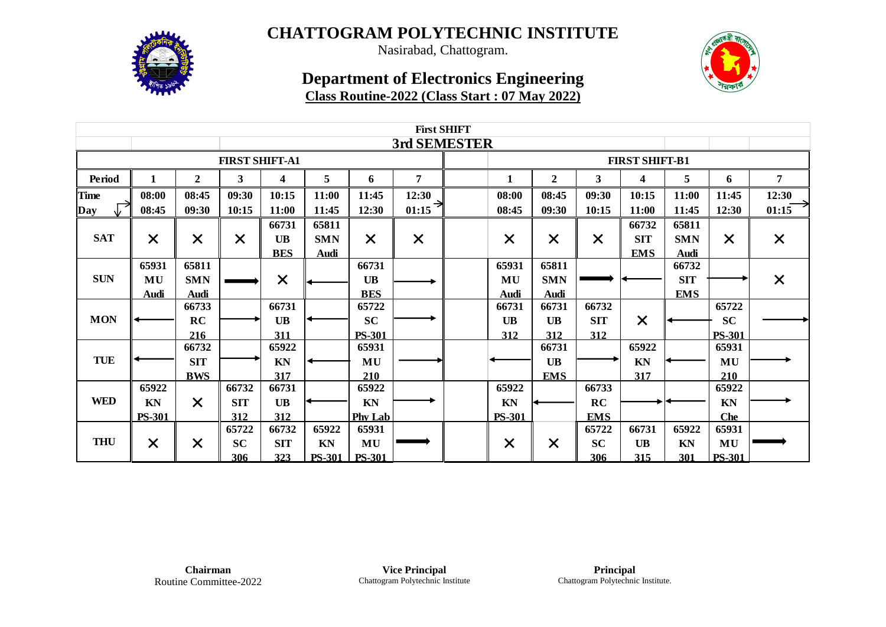

Nasirabad, Chattogram.

### **Department of Electronics Engineering Class Routine-2022 (Class Start : 07 May 2022)**



|             | <b>First SHIFT</b>           |                                   |                            |                                  |                                     |                                  |              |  |                              |                                    |                            |                                   |                                    |                                                          |  |  |  |  |  |
|-------------|------------------------------|-----------------------------------|----------------------------|----------------------------------|-------------------------------------|----------------------------------|--------------|--|------------------------------|------------------------------------|----------------------------|-----------------------------------|------------------------------------|----------------------------------------------------------|--|--|--|--|--|
|             |                              |                                   |                            |                                  |                                     |                                  | 3rd SEMESTER |  |                              |                                    |                            |                                   |                                    |                                                          |  |  |  |  |  |
|             |                              |                                   | <b>FIRST SHIFT-A1</b>      |                                  |                                     |                                  |              |  |                              |                                    | <b>FIRST SHIFT-B1</b>      |                                   |                                    | $\overline{7}$<br>12:30<br>01:15<br>$\times$<br>$\times$ |  |  |  |  |  |
| Period      |                              | $\boldsymbol{2}$                  | $\mathbf{3}$               | 4                                | 5                                   | 6                                | 7            |  | 1                            | $\boldsymbol{2}$                   | 3                          | 4                                 | 5                                  | 6                                                        |  |  |  |  |  |
| <b>Time</b> | 08:00                        | 08:45                             | 09:30                      | 10:15                            | 11:00                               | 11:45                            | 12:30        |  | 08:00                        | 08:45                              | 09:30                      | 10:15                             | 11:00                              | 11:45                                                    |  |  |  |  |  |
| Day         | 08:45                        | 09:30                             | 10:15                      | 11:00                            | 11:45                               | 12:30                            | ⇥<br>01:15   |  | 08:45                        | 09:30                              | 10:15                      | 11:00                             | 11:45                              | 12:30                                                    |  |  |  |  |  |
| <b>SAT</b>  | $\times$                     | $\times$                          | $\times$                   | 66731<br><b>UB</b><br><b>BES</b> | 65811<br><b>SMN</b><br>Audi         | $\times$                         | $\times$     |  | $\times$                     | $\times$                           | $\times$                   | 66732<br><b>SIT</b><br><b>EMS</b> | 65811<br><b>SMN</b><br><b>Audi</b> | $\times$                                                 |  |  |  |  |  |
| <b>SUN</b>  | 65931<br>MU<br><b>Audi</b>   | 65811<br><b>SMN</b><br>Audi       |                            | $\times$                         |                                     | 66731<br><b>UB</b><br><b>BES</b> |              |  | 65931<br>MU<br><u>Audi</u>   | 65811<br><b>SMN</b><br><b>Audi</b> |                            |                                   | 66732<br><b>SIT</b><br><b>EMS</b>  |                                                          |  |  |  |  |  |
| <b>MON</b>  |                              | 66733<br>RC<br>216                |                            | 66731<br><b>UB</b><br>311        |                                     | 65722<br>SC<br><b>PS-301</b>     |              |  | 66731<br>UB<br>312           | 66731<br><b>UB</b><br>312          | 66732<br><b>SIT</b><br>312 | $\times$                          |                                    | 65722<br>SC<br><b>PS-301</b>                             |  |  |  |  |  |
| <b>TUE</b>  |                              | 66732<br><b>SIT</b><br><b>BWS</b> |                            | 65922<br>KN<br>317               |                                     | 65931<br>MU<br>210               |              |  |                              | 66731<br><b>UB</b><br><b>EMS</b>   |                            | 65922<br>KN<br>317                |                                    | 65931<br>MU<br>210                                       |  |  |  |  |  |
| <b>WED</b>  | 65922<br>KN<br><b>PS-301</b> | $\times$                          | 66732<br><b>SIT</b><br>312 | 66731<br><b>UB</b><br>312        |                                     | 65922<br>KN<br><b>Phy Lab</b>    |              |  | 65922<br>KN<br><b>PS-301</b> |                                    | 66733<br>RC<br><b>EMS</b>  |                                   |                                    | 65922<br>KN<br><b>Che</b>                                |  |  |  |  |  |
| <b>THU</b>  | $\times$                     | $\times$                          | 65722<br><b>SC</b><br>306  | 66732<br><b>SIT</b><br>323       | 65922<br><b>KN</b><br><b>PS-301</b> | 65931<br>MU<br><b>PS-301</b>     |              |  | $\times$                     | $\times$                           | 65722<br><b>SC</b><br>306  | 66731<br><b>UB</b><br>315         | 65922<br>KN<br>301                 | 65931<br>MU<br><b>PS-301</b>                             |  |  |  |  |  |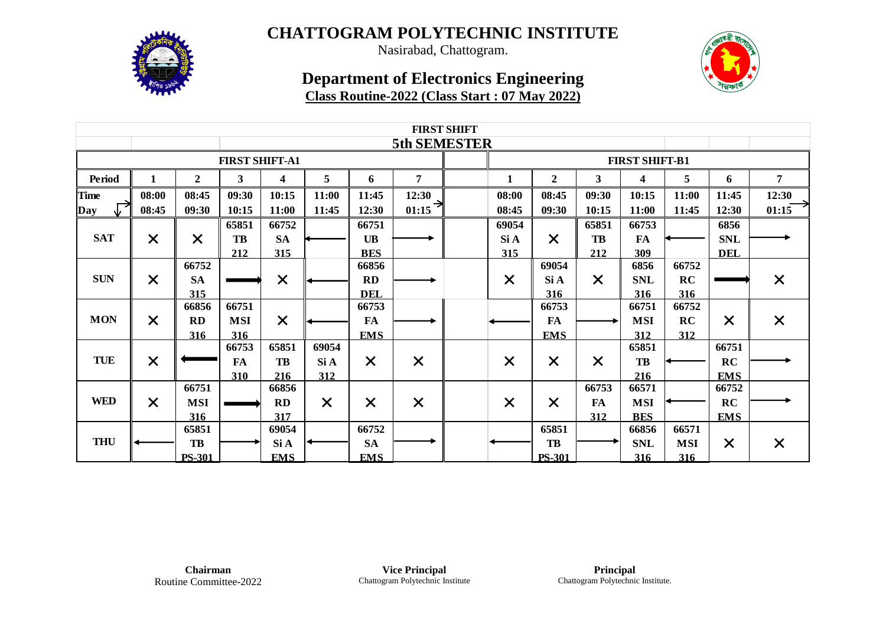

Nasirabad, Chattogram.

### **Department of Electronics Engineering Class Routine-2022 (Class Start : 07 May 2022)**



|             | <b>FIRST SHIFT</b> |                  |                       |            |          |            |              |  |          |                  |                       |            |            |                                                                  |                                  |  |  |  |  |  |
|-------------|--------------------|------------------|-----------------------|------------|----------|------------|--------------|--|----------|------------------|-----------------------|------------|------------|------------------------------------------------------------------|----------------------------------|--|--|--|--|--|
|             |                    |                  |                       |            |          |            | 5th SEMESTER |  |          |                  |                       |            |            |                                                                  |                                  |  |  |  |  |  |
|             |                    |                  | <b>FIRST SHIFT-A1</b> |            |          |            |              |  |          |                  | <b>FIRST SHIFT-B1</b> |            |            | 7<br>6<br>12:30<br>11:45<br>01:15<br>12:30<br>6856<br><b>SNL</b> |                                  |  |  |  |  |  |
| Period      |                    | $\boldsymbol{2}$ | $\mathbf{3}$          | 4          | 5        | 6          | 7            |  | 1        | $\boldsymbol{2}$ | 3                     | 4          | 5          |                                                                  |                                  |  |  |  |  |  |
| <b>Time</b> | 08:00              | 08:45            | 09:30                 | 10:15      | 11:00    | 11:45      | 12:30        |  | 08:00    | 08:45            | 09:30                 | 10:15      | 11:00      |                                                                  |                                  |  |  |  |  |  |
| Day         | 08:45              | 09:30            | 10:15                 | 11:00      | 11:45    | 12:30      | ⇥<br>01:15   |  | 08:45    | 09:30            | 10:15                 | 11:00      | 11:45      |                                                                  |                                  |  |  |  |  |  |
|             |                    |                  | 65851                 | 66752      |          | 66751      |              |  | 69054    |                  | 65851                 | 66753      |            |                                                                  |                                  |  |  |  |  |  |
| <b>SAT</b>  | $\times$           | $\times$         | TB                    | <b>SA</b>  |          | UB         |              |  | Si A     | $\times$         | TB                    | <b>FA</b>  |            |                                                                  |                                  |  |  |  |  |  |
|             |                    |                  | 212                   | 315        |          | <b>BES</b> |              |  | 315      |                  | 212                   | 309        |            | <b>DEL</b>                                                       | $\times$<br>$\times$<br>$\times$ |  |  |  |  |  |
|             |                    | 66752            |                       |            |          | 66856      |              |  |          | 69054            |                       | 6856       | 66752      |                                                                  |                                  |  |  |  |  |  |
| <b>SUN</b>  | $\times$           | <b>SA</b>        |                       | $\times$   |          | RD         |              |  | $\times$ | Si A             | $\times$              | <b>SNL</b> | RC         |                                                                  |                                  |  |  |  |  |  |
|             |                    | 315              |                       |            |          | <b>DEL</b> |              |  |          | 316              |                       | 316        | 316        |                                                                  |                                  |  |  |  |  |  |
|             |                    | 66856            | 66751                 |            |          | 66753      |              |  |          | 66753            |                       | 66751      | 66752      |                                                                  |                                  |  |  |  |  |  |
| <b>MON</b>  | $\times$           | RD               | <b>MSI</b>            | $\times$   |          | <b>FA</b>  |              |  |          | <b>FA</b>        |                       | <b>MSI</b> | RC         | $\times$                                                         |                                  |  |  |  |  |  |
|             |                    | 316              | 316                   |            |          | <b>EMS</b> |              |  |          | <b>EMS</b>       |                       | 312        | 312        |                                                                  |                                  |  |  |  |  |  |
|             |                    |                  | 66753                 | 65851      | 69054    |            |              |  |          |                  |                       | 65851      |            | 66751                                                            |                                  |  |  |  |  |  |
| <b>TUE</b>  | $\times$           |                  | <b>FA</b>             | TB         | Si A     | $\times$   | $\times$     |  | $\times$ | $\times$         | $\times$              | TB         |            | RC                                                               |                                  |  |  |  |  |  |
|             |                    |                  | 310                   | 216        | 312      |            |              |  |          |                  |                       | 216        |            | <b>EMS</b>                                                       |                                  |  |  |  |  |  |
|             |                    | 66751            |                       | 66856      |          |            |              |  |          |                  | 66753                 | 66571      |            | 66752                                                            |                                  |  |  |  |  |  |
| <b>WED</b>  | $\times$           | <b>MSI</b>       |                       | RD         | $\times$ | $\times$   | $\times$     |  | $\times$ | $\times$         | <b>FA</b>             | <b>MSI</b> |            | RC                                                               |                                  |  |  |  |  |  |
|             |                    | 316              |                       | 317        |          |            |              |  |          |                  | 312                   | <b>BES</b> |            | <b>EMS</b>                                                       |                                  |  |  |  |  |  |
|             |                    | 65851            |                       | 69054      |          | 66752      |              |  |          | 65851            |                       | 66856      | 66571      |                                                                  |                                  |  |  |  |  |  |
| <b>THU</b>  |                    | TB               |                       | Si A       |          | <b>SA</b>  |              |  |          | <b>TB</b>        |                       | <b>SNL</b> | <b>MSI</b> | $\times$                                                         |                                  |  |  |  |  |  |
|             |                    | <b>PS-301</b>    |                       | <b>EMS</b> |          | <b>EMS</b> |              |  |          | <b>PS-301</b>    |                       | 316        | 316        |                                                                  |                                  |  |  |  |  |  |

**Chairman** Routine Committee-2022

**Vice Principal** Chattogram Polytechnic Institute

**Principal** Chattogram Polytechnic Institute.